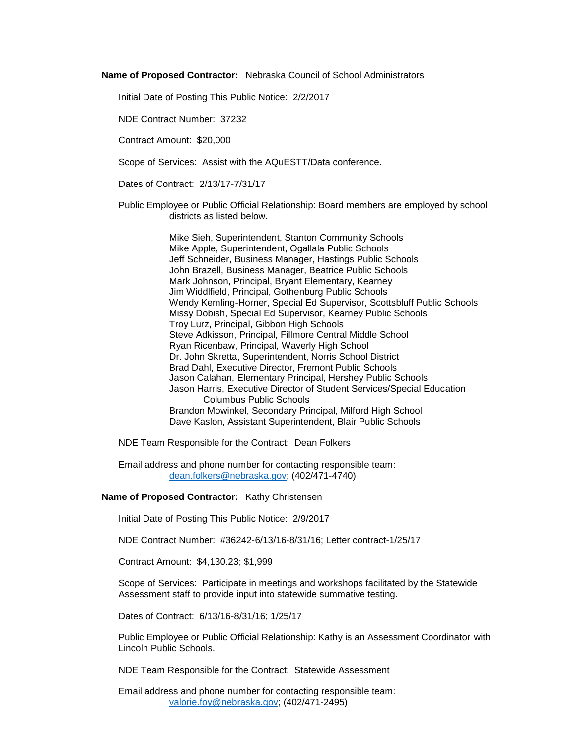**Name of Proposed Contractor:** Nebraska Council of School Administrators

Initial Date of Posting This Public Notice: 2/2/2017

NDE Contract Number: 37232

Contract Amount: \$20,000

Scope of Services: Assist with the AQuESTT/Data conference.

Dates of Contract: 2/13/17-7/31/17

Public Employee or Public Official Relationship: Board members are employed by school districts as listed below.

> Mike Sieh, Superintendent, Stanton Community Schools Mike Apple, Superintendent, Ogallala Public Schools Jeff Schneider, Business Manager, Hastings Public Schools John Brazell, Business Manager, Beatrice Public Schools Mark Johnson, Principal, Bryant Elementary, Kearney Jim Widdlfield, Principal, Gothenburg Public Schools Wendy Kemling-Horner, Special Ed Supervisor, Scottsbluff Public Schools Missy Dobish, Special Ed Supervisor, Kearney Public Schools Troy Lurz, Principal, Gibbon High Schools Steve Adkisson, Principal, Fillmore Central Middle School Ryan Ricenbaw, Principal, Waverly High School Dr. John Skretta, Superintendent, Norris School District Brad Dahl, Executive Director, Fremont Public Schools Jason Calahan, Elementary Principal, Hershey Public Schools Jason Harris, Executive Director of Student Services/Special Education Columbus Public Schools Brandon Mowinkel, Secondary Principal, Milford High School Dave Kaslon, Assistant Superintendent, Blair Public Schools

NDE Team Responsible for the Contract: Dean Folkers

Email address and phone number for contacting responsible team: [dean.folkers@nebraska.gov;](mailto:dean.folkers@nebraska.gov) (402/471-4740)

## **Name of Proposed Contractor:** Kathy Christensen

Initial Date of Posting This Public Notice: 2/9/2017

NDE Contract Number: #36242-6/13/16-8/31/16; Letter contract-1/25/17

Contract Amount: \$4,130.23; \$1,999

Scope of Services: Participate in meetings and workshops facilitated by the Statewide Assessment staff to provide input into statewide summative testing.

Dates of Contract: 6/13/16-8/31/16; 1/25/17

Public Employee or Public Official Relationship: Kathy is an Assessment Coordinator with Lincoln Public Schools.

NDE Team Responsible for the Contract: Statewide Assessment

Email address and phone number for contacting responsible team: [valorie.foy@nebraska.gov;](mailto:valorie.foy@nebraska.gov) (402/471-2495)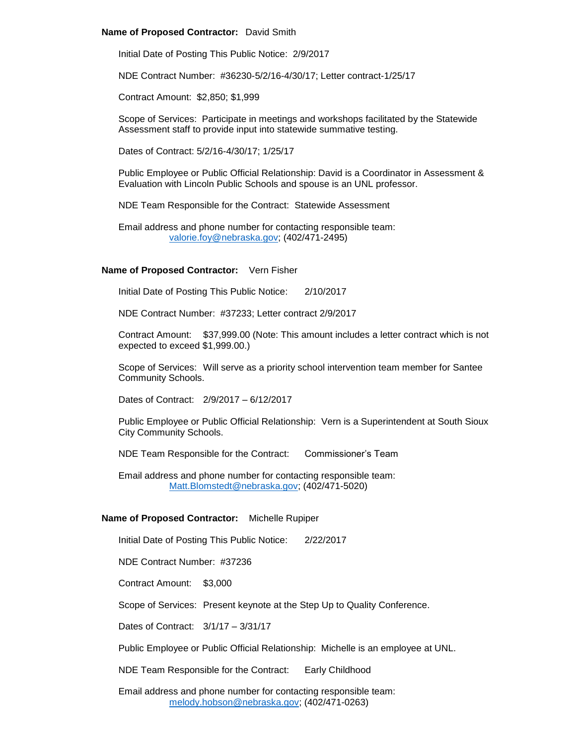## **Name of Proposed Contractor:** David Smith

Initial Date of Posting This Public Notice: 2/9/2017

NDE Contract Number: #36230-5/2/16-4/30/17; Letter contract-1/25/17

Contract Amount: \$2,850; \$1,999

Scope of Services: Participate in meetings and workshops facilitated by the Statewide Assessment staff to provide input into statewide summative testing.

Dates of Contract: 5/2/16-4/30/17; 1/25/17

Public Employee or Public Official Relationship: David is a Coordinator in Assessment & Evaluation with Lincoln Public Schools and spouse is an UNL professor.

NDE Team Responsible for the Contract: Statewide Assessment

Email address and phone number for contacting responsible team: [valorie.foy@nebraska.gov;](mailto:valorie.foy@nebraska.gov) (402/471-2495)

# **Name of Proposed Contractor:** Vern Fisher

Initial Date of Posting This Public Notice: 2/10/2017

NDE Contract Number: #37233; Letter contract 2/9/2017

Contract Amount: \$37,999.00 (Note: This amount includes a letter contract which is not expected to exceed \$1,999.00.)

Scope of Services: Will serve as a priority school intervention team member for Santee Community Schools.

Dates of Contract: 2/9/2017 – 6/12/2017

Public Employee or Public Official Relationship: Vern is a Superintendent at South Sioux City Community Schools.

NDE Team Responsible for the Contract: Commissioner's Team

Email address and phone number for contacting responsible team: [Matt.Blomstedt@nebraska.gov;](mailto:Matt.Blomstedt@nebraska.gov) (402/471-5020)

#### **Name of Proposed Contractor:** Michelle Rupiper

Initial Date of Posting This Public Notice: 2/22/2017

NDE Contract Number: #37236

Contract Amount: \$3,000

Scope of Services: Present keynote at the Step Up to Quality Conference.

Dates of Contract: 3/1/17 – 3/31/17

Public Employee or Public Official Relationship: Michelle is an employee at UNL.

NDE Team Responsible for the Contract: Early Childhood

Email address and phone number for contacting responsible team: [melody.hobson@nebraska.gov;](mailto:melody.hobson@nebraska.gov) (402/471-0263)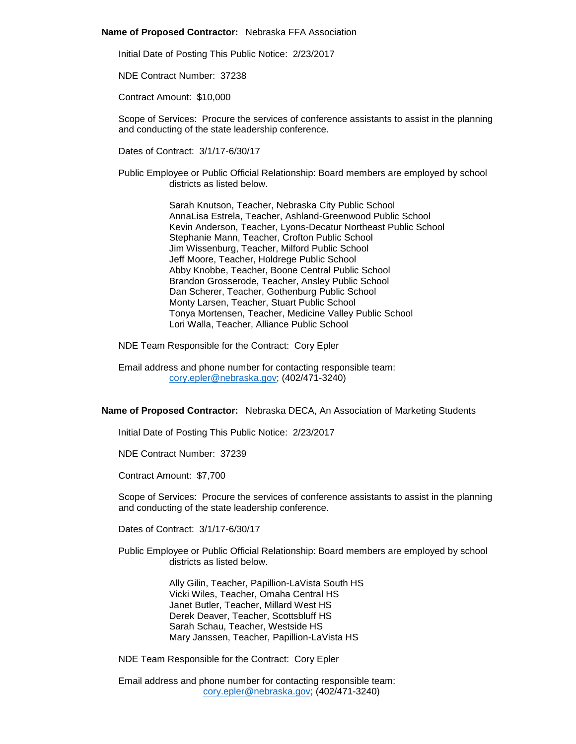#### **Name of Proposed Contractor:** Nebraska FFA Association

Initial Date of Posting This Public Notice: 2/23/2017

NDE Contract Number: 37238

Contract Amount: \$10,000

Scope of Services: Procure the services of conference assistants to assist in the planning and conducting of the state leadership conference.

Dates of Contract: 3/1/17-6/30/17

Public Employee or Public Official Relationship: Board members are employed by school districts as listed below.

> Sarah Knutson, Teacher, Nebraska City Public School AnnaLisa Estrela, Teacher, Ashland-Greenwood Public School Kevin Anderson, Teacher, Lyons-Decatur Northeast Public School Stephanie Mann, Teacher, Crofton Public School Jim Wissenburg, Teacher, Milford Public School Jeff Moore, Teacher, Holdrege Public School Abby Knobbe, Teacher, Boone Central Public School Brandon Grosserode, Teacher, Ansley Public School Dan Scherer, Teacher, Gothenburg Public School Monty Larsen, Teacher, Stuart Public School Tonya Mortensen, Teacher, Medicine Valley Public School Lori Walla, Teacher, Alliance Public School

NDE Team Responsible for the Contract: Cory Epler

Email address and phone number for contacting responsible team: [cory.epler@nebraska.gov;](mailto:cory.epler@nebraska.gov) (402/471-3240)

# **Name of Proposed Contractor:** Nebraska DECA, An Association of Marketing Students

Initial Date of Posting This Public Notice: 2/23/2017

NDE Contract Number: 37239

Contract Amount: \$7,700

Scope of Services: Procure the services of conference assistants to assist in the planning and conducting of the state leadership conference.

Dates of Contract: 3/1/17-6/30/17

Public Employee or Public Official Relationship: Board members are employed by school districts as listed below.

> Ally Gilin, Teacher, Papillion-LaVista South HS Vicki Wiles, Teacher, Omaha Central HS Janet Butler, Teacher, Millard West HS Derek Deaver, Teacher, Scottsbluff HS Sarah Schau, Teacher, Westside HS Mary Janssen, Teacher, Papillion-LaVista HS

NDE Team Responsible for the Contract: Cory Epler

Email address and phone number for contacting responsible team: [cory.epler@nebraska.gov;](mailto:cory.epler@nebraska.gov) (402/471-3240)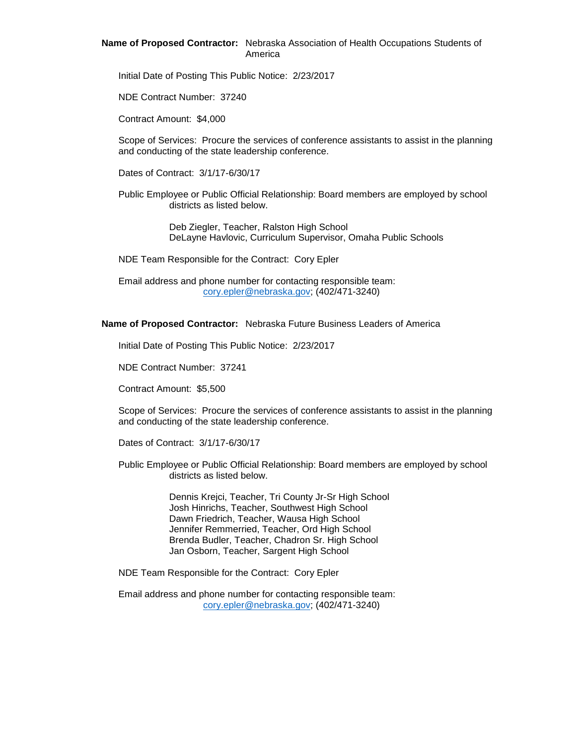# **Name of Proposed Contractor:** Nebraska Association of Health Occupations Students of America

Initial Date of Posting This Public Notice: 2/23/2017

NDE Contract Number: 37240

Contract Amount: \$4,000

Scope of Services: Procure the services of conference assistants to assist in the planning and conducting of the state leadership conference.

Dates of Contract: 3/1/17-6/30/17

Public Employee or Public Official Relationship: Board members are employed by school districts as listed below.

> Deb Ziegler, Teacher, Ralston High School DeLayne Havlovic, Curriculum Supervisor, Omaha Public Schools

NDE Team Responsible for the Contract: Cory Epler

Email address and phone number for contacting responsible team: [cory.epler@nebraska.gov;](mailto:cory.epler@nebraska.gov) (402/471-3240)

## **Name of Proposed Contractor:** Nebraska Future Business Leaders of America

Initial Date of Posting This Public Notice: 2/23/2017

NDE Contract Number: 37241

Contract Amount: \$5,500

Scope of Services: Procure the services of conference assistants to assist in the planning and conducting of the state leadership conference.

Dates of Contract: 3/1/17-6/30/17

Public Employee or Public Official Relationship: Board members are employed by school districts as listed below.

> Dennis Krejci, Teacher, Tri County Jr-Sr High School Josh Hinrichs, Teacher, Southwest High School Dawn Friedrich, Teacher, Wausa High School Jennifer Remmerried, Teacher, Ord High School Brenda Budler, Teacher, Chadron Sr. High School Jan Osborn, Teacher, Sargent High School

NDE Team Responsible for the Contract: Cory Epler

Email address and phone number for contacting responsible team: [cory.epler@nebraska.gov;](mailto:cory.epler@nebraska.gov) (402/471-3240)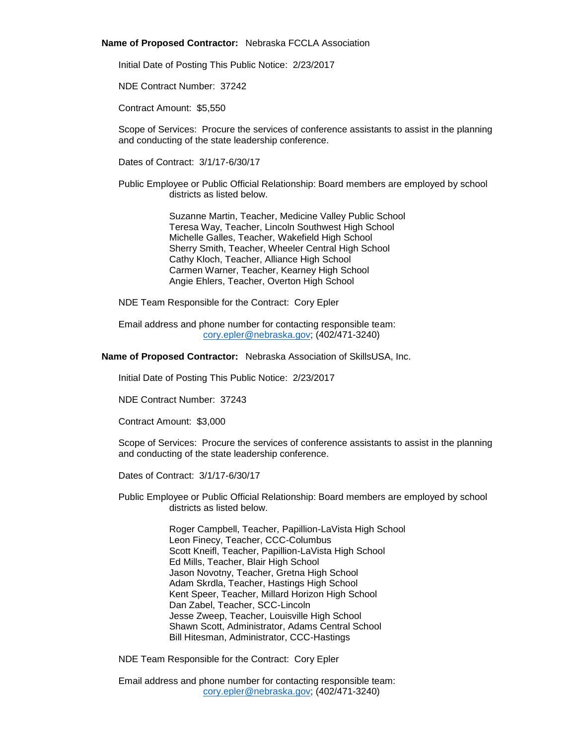## **Name of Proposed Contractor:** Nebraska FCCLA Association

Initial Date of Posting This Public Notice: 2/23/2017

NDE Contract Number: 37242

Contract Amount: \$5,550

Scope of Services: Procure the services of conference assistants to assist in the planning and conducting of the state leadership conference.

Dates of Contract: 3/1/17-6/30/17

Public Employee or Public Official Relationship: Board members are employed by school districts as listed below.

> Suzanne Martin, Teacher, Medicine Valley Public School Teresa Way, Teacher, Lincoln Southwest High School Michelle Galles, Teacher, Wakefield High School Sherry Smith, Teacher, Wheeler Central High School Cathy Kloch, Teacher, Alliance High School Carmen Warner, Teacher, Kearney High School Angie Ehlers, Teacher, Overton High School

NDE Team Responsible for the Contract: Cory Epler

Email address and phone number for contacting responsible team: [cory.epler@nebraska.gov;](mailto:cory.epler@nebraska.gov) (402/471-3240)

**Name of Proposed Contractor:** Nebraska Association of SkillsUSA, Inc.

Initial Date of Posting This Public Notice: 2/23/2017

NDE Contract Number: 37243

Contract Amount: \$3,000

Scope of Services: Procure the services of conference assistants to assist in the planning and conducting of the state leadership conference.

Dates of Contract: 3/1/17-6/30/17

Public Employee or Public Official Relationship: Board members are employed by school districts as listed below.

> Roger Campbell, Teacher, Papillion-LaVista High School Leon Finecy, Teacher, CCC-Columbus Scott Kneifl, Teacher, Papillion-LaVista High School Ed Mills, Teacher, Blair High School Jason Novotny, Teacher, Gretna High School Adam Skrdla, Teacher, Hastings High School Kent Speer, Teacher, Millard Horizon High School Dan Zabel, Teacher, SCC-Lincoln Jesse Zweep, Teacher, Louisville High School Shawn Scott, Administrator, Adams Central School Bill Hitesman, Administrator, CCC-Hastings

NDE Team Responsible for the Contract: Cory Epler

Email address and phone number for contacting responsible team: [cory.epler@nebraska.gov;](mailto:cory.epler@nebraska.gov) (402/471-3240)